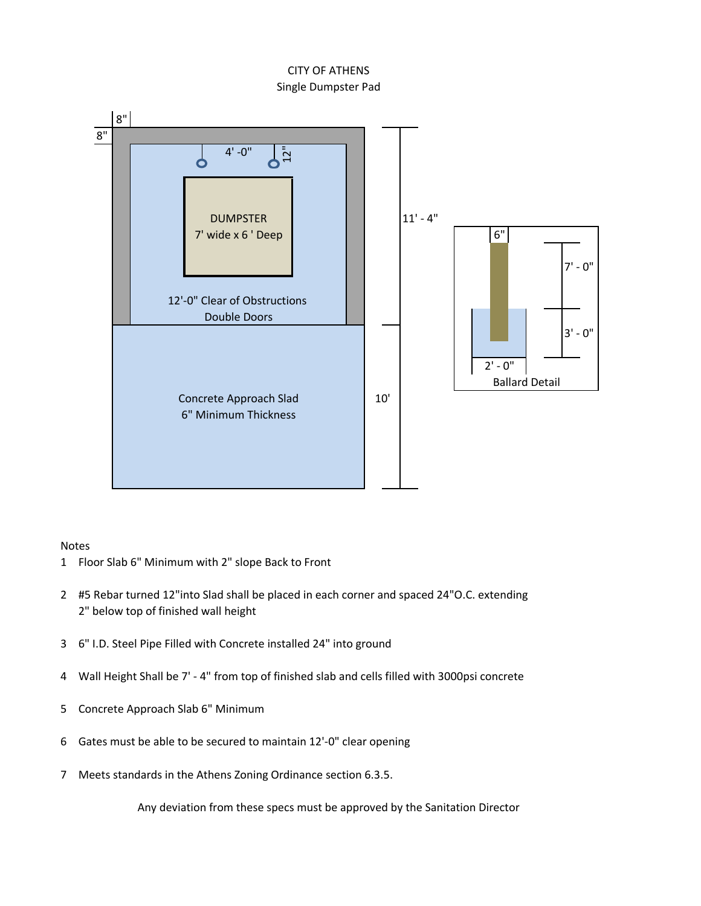## Single Dumpster Pad CITY OF ATHENS



## Notes

- 1 Floor Slab 6" Minimum with 2" slope Back to Front
- 2 #5 Rebar turned 12"into Slad shall be placed in each corner and spaced 24"O.C. extending 2" below top of finished wall height
- 3
- 4 Wall Height Shall be 7' - 4" from top of finished slab and cells filled with 3000psi concrete
- 5 Concrete Approach Slab 6" Minimum
- 6 Gates must be able to be secured to maintain 12'-0" clear opening
- 7 Meets standards in the Athens Zoning Ordinance section 6.3.5.

Any deviation from these specs must be approved by the Sanitation Director